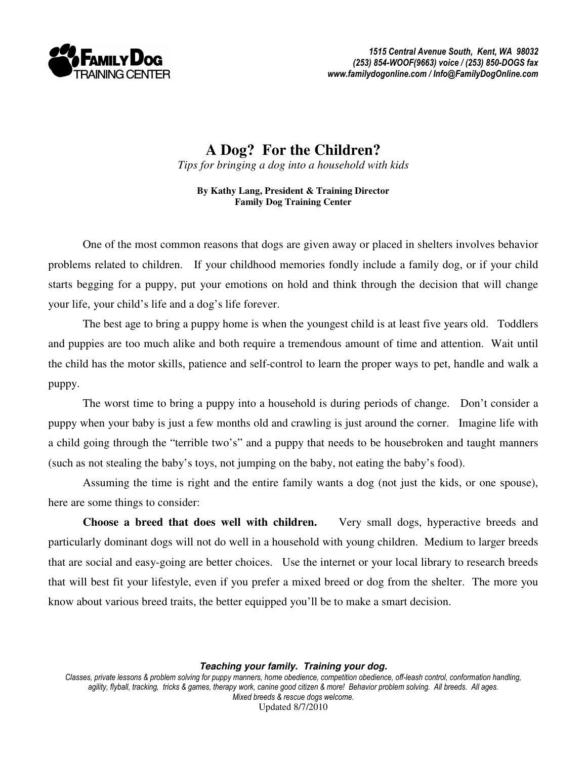

**A Dog? For the Children?**  *Tips for bringing a dog into a household with kids* 

**By Kathy Lang, President & Training Director Family Dog Training Center** 

 One of the most common reasons that dogs are given away or placed in shelters involves behavior problems related to children. If your childhood memories fondly include a family dog, or if your child starts begging for a puppy, put your emotions on hold and think through the decision that will change your life, your child's life and a dog's life forever.

 The best age to bring a puppy home is when the youngest child is at least five years old. Toddlers and puppies are too much alike and both require a tremendous amount of time and attention. Wait until the child has the motor skills, patience and self-control to learn the proper ways to pet, handle and walk a puppy.

 The worst time to bring a puppy into a household is during periods of change. Don't consider a puppy when your baby is just a few months old and crawling is just around the corner. Imagine life with a child going through the "terrible two's" and a puppy that needs to be housebroken and taught manners (such as not stealing the baby's toys, not jumping on the baby, not eating the baby's food).

 Assuming the time is right and the entire family wants a dog (not just the kids, or one spouse), here are some things to consider:

**Choose a breed that does well with children.** Very small dogs, hyperactive breeds and particularly dominant dogs will not do well in a household with young children. Medium to larger breeds that are social and easy-going are better choices. Use the internet or your local library to research breeds that will best fit your lifestyle, even if you prefer a mixed breed or dog from the shelter. The more you know about various breed traits, the better equipped you'll be to make a smart decision.

**Teaching your family. Training your dog.** 

Classes, private lessons & problem solving for puppy manners, home obedience, competition obedience, off-leash control, conformation handling, agility, flyball, tracking, tricks & games, therapy work, canine good citizen & more! Behavior problem solving. All breeds. All ages. Mixed breeds & rescue dogs welcome. Updated 8/7/2010